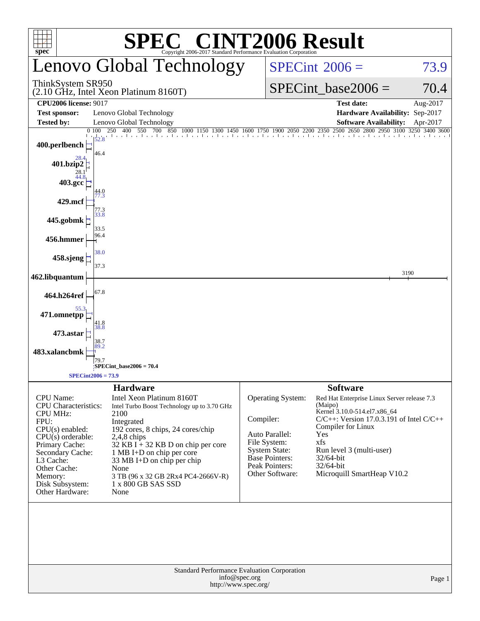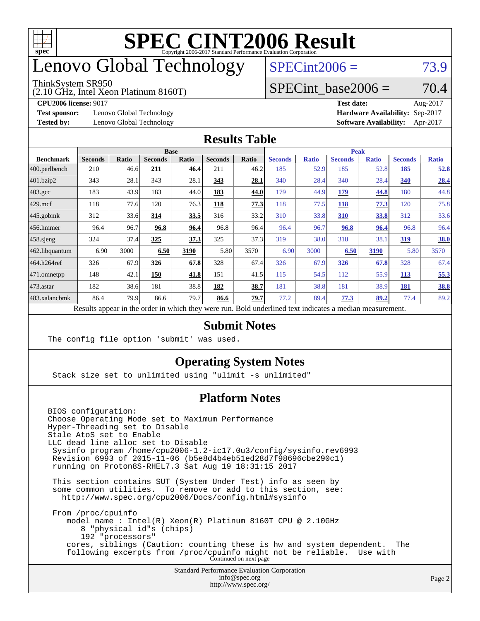

## enovo Global Technology

#### ThinkSystem SR950

(2.10 GHz, Intel Xeon Platinum 8160T)

 $SPECint2006 = 73.9$  $SPECint2006 = 73.9$ 

#### SPECint base2006 =  $70.4$

**[Test sponsor:](http://www.spec.org/auto/cpu2006/Docs/result-fields.html#Testsponsor)** Lenovo Global Technology **[Hardware Availability:](http://www.spec.org/auto/cpu2006/Docs/result-fields.html#HardwareAvailability)** Sep-2017

**[CPU2006 license:](http://www.spec.org/auto/cpu2006/Docs/result-fields.html#CPU2006license)** 9017 **[Test date:](http://www.spec.org/auto/cpu2006/Docs/result-fields.html#Testdate)** Aug-2017 **[Tested by:](http://www.spec.org/auto/cpu2006/Docs/result-fields.html#Testedby)** Lenovo Global Technology **[Software Availability:](http://www.spec.org/auto/cpu2006/Docs/result-fields.html#SoftwareAvailability)** Apr-2017

#### **[Results Table](http://www.spec.org/auto/cpu2006/Docs/result-fields.html#ResultsTable)**

|                    | <b>Base</b>    |              |                |              |                |       | <b>Peak</b>    |              |                |              |                |              |
|--------------------|----------------|--------------|----------------|--------------|----------------|-------|----------------|--------------|----------------|--------------|----------------|--------------|
| <b>Benchmark</b>   | <b>Seconds</b> | <b>Ratio</b> | <b>Seconds</b> | <b>Ratio</b> | <b>Seconds</b> | Ratio | <b>Seconds</b> | <b>Ratio</b> | <b>Seconds</b> | <b>Ratio</b> | <b>Seconds</b> | <b>Ratio</b> |
| 400.perlbench      | 210            | 46.6         | 211            | 46.4         | 211            | 46.2  | 185            | 52.9         | 185            | 52.8         | 185            | 52.8         |
| 401.bzip2          | 343            | 28.1         | 343            | 28.1         | 343            | 28.1  | 340            | 28.4         | 340            | 28.4         | 340            | 28.4         |
| $403.\mathrm{gcc}$ | 183            | 43.9         | 183            | 44.0         | 183            | 44.0  | 179            | 44.9         | <u>179</u>     | 44.8         | 180            | 44.8         |
| $429$ .mcf         | 118            | 77.6         | 120            | 76.3         | 118            | 77.3  | 118            | 77.5         | 118            | 77.3         | 120            | 75.8         |
| $445$ .gobmk       | 312            | 33.6         | 314            | 33.5         | 316            | 33.2  | 310            | 33.8         | 310            | 33.8         | 312            | 33.6         |
| $456.$ hmmer       | 96.4           | 96.7         | 96.8           | 96.4         | 96.8           | 96.4  | 96.4           | 96.7         | 96.8           | 96.4         | 96.8           | 96.4         |
| $458$ .sjeng       | 324            | 37.4         | 325            | 37.3         | 325            | 37.3  | 319            | 38.0         | 318            | 38.1         | <u>319</u>     | 38.0         |
| 462.libquantum     | 6.90           | 3000         | 6.50           | 3190         | 5.80           | 3570  | 6.90           | 3000         | 6.50           | 3190         | 5.80           | 3570         |
| 464.h264ref        | 326            | 67.9         | 326            | 67.8         | 328            | 67.4  | 326            | 67.9         | 326            | 67.8         | 328            | 67.4         |
| 471.omnetpp        | 148            | 42.1         | 150            | 41.8         | 151            | 41.5  | 115            | 54.5         | 112            | 55.9         | <b>113</b>     | 55.3         |
| $473$ . astar      | 182            | 38.6         | 181            | 38.8         | 182            | 38.7  | 181            | 38.8         | 181            | 38.9         | 181            | 38.8         |
| 483.xalancbmk      | 86.4           | 79.9         | 86.6           | 79.7         | 86.6           | 79.7  | 77.2           | 89.4         | 77.3           | 89.2         | 77.4           | 89.2         |
|                    |                |              |                |              |                |       |                |              |                |              |                |              |

Results appear in the [order in which they were run.](http://www.spec.org/auto/cpu2006/Docs/result-fields.html#RunOrder) Bold underlined text [indicates a median measurement.](http://www.spec.org/auto/cpu2006/Docs/result-fields.html#Median)

#### **[Submit Notes](http://www.spec.org/auto/cpu2006/Docs/result-fields.html#SubmitNotes)**

The config file option 'submit' was used.

#### **[Operating System Notes](http://www.spec.org/auto/cpu2006/Docs/result-fields.html#OperatingSystemNotes)**

Stack size set to unlimited using "ulimit -s unlimited"

#### **[Platform Notes](http://www.spec.org/auto/cpu2006/Docs/result-fields.html#PlatformNotes)**

Standard Performance Evaluation Corporation [info@spec.org](mailto:info@spec.org) BIOS configuration: Choose Operating Mode set to Maximum Performance Hyper-Threading set to Disable Stale AtoS set to Enable LLC dead line alloc set to Disable Sysinfo program /home/cpu2006-1.2-ic17.0u3/config/sysinfo.rev6993 Revision 6993 of 2015-11-06 (b5e8d4b4eb51ed28d7f98696cbe290c1) running on Proton8S-RHEL7.3 Sat Aug 19 18:31:15 2017 This section contains SUT (System Under Test) info as seen by some common utilities. To remove or add to this section, see: <http://www.spec.org/cpu2006/Docs/config.html#sysinfo> From /proc/cpuinfo model name : Intel(R) Xeon(R) Platinum 8160T CPU @ 2.10GHz 8 "physical id"s (chips) 192 "processors" cores, siblings (Caution: counting these is hw and system dependent. The following excerpts from /proc/cpuinfo might not be reliable. Use with Continued on next page

<http://www.spec.org/>

Page 2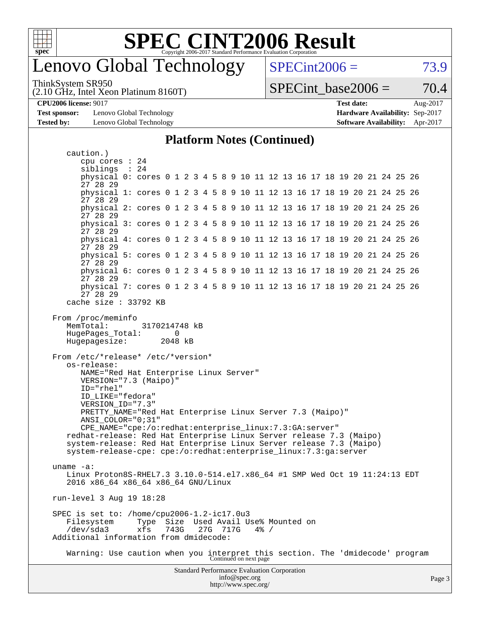

### enovo Global Technology

ThinkSystem SR950

(2.10 GHz, Intel Xeon Platinum 8160T)

 $SPECint2006 = 73.9$  $SPECint2006 = 73.9$ 

SPECint base2006 =  $70.4$ 

**[Hardware Availability:](http://www.spec.org/auto/cpu2006/Docs/result-fields.html#HardwareAvailability)** Sep-2017 **[Software Availability:](http://www.spec.org/auto/cpu2006/Docs/result-fields.html#SoftwareAvailability)** Apr-2017

| <b>CPU2006 license: 9017</b> |                                               | <b>Test date:</b>                      | Aug-2017 |
|------------------------------|-----------------------------------------------|----------------------------------------|----------|
|                              | <b>Test sponsor:</b> Lenovo Global Technology | <b>Hardware Availability: Sep-2017</b> |          |
| <b>Tested by:</b>            | Lenovo Global Technology                      | <b>Software Availability:</b> Apr-2017 |          |

caution.)

#### **[Platform Notes \(Continued\)](http://www.spec.org/auto/cpu2006/Docs/result-fields.html#PlatformNotes)**

Standard Performance Evaluation Corporation [info@spec.org](mailto:info@spec.org) cpu cores : 24 siblings : 24 physical 0: cores 0 1 2 3 4 5 8 9 10 11 12 13 16 17 18 19 20 21 24 25 26 27 28 29 physical 1: cores 0 1 2 3 4 5 8 9 10 11 12 13 16 17 18 19 20 21 24 25 26 27 28 29 physical 2: cores 0 1 2 3 4 5 8 9 10 11 12 13 16 17 18 19 20 21 24 25 26 27 28 29 physical 3: cores 0 1 2 3 4 5 8 9 10 11 12 13 16 17 18 19 20 21 24 25 26 27 28 29 physical 4: cores 0 1 2 3 4 5 8 9 10 11 12 13 16 17 18 19 20 21 24 25 26 27 28 29 physical 5: cores 0 1 2 3 4 5 8 9 10 11 12 13 16 17 18 19 20 21 24 25 26 27 28 29 physical 6: cores 0 1 2 3 4 5 8 9 10 11 12 13 16 17 18 19 20 21 24 25 26 27 28 29 physical 7: cores 0 1 2 3 4 5 8 9 10 11 12 13 16 17 18 19 20 21 24 25 26 27 28 29 cache size : 33792 KB From /proc/meminfo MemTotal: 3170214748 kB HugePages\_Total: 0 Hugepagesize: 2048 kB From /etc/\*release\* /etc/\*version\* os-release: NAME="Red Hat Enterprise Linux Server" VERSION="7.3 (Maipo)" ID="rhel" ID\_LIKE="fedora" VERSION\_ID="7.3" PRETTY\_NAME="Red Hat Enterprise Linux Server 7.3 (Maipo)" ANSI\_COLOR="0;31" CPE\_NAME="cpe:/o:redhat:enterprise\_linux:7.3:GA:server" redhat-release: Red Hat Enterprise Linux Server release 7.3 (Maipo) system-release: Red Hat Enterprise Linux Server release 7.3 (Maipo) system-release-cpe: cpe:/o:redhat:enterprise\_linux:7.3:ga:server uname -a: Linux Proton8S-RHEL7.3 3.10.0-514.el7.x86\_64 #1 SMP Wed Oct 19 11:24:13 EDT 2016 x86\_64 x86\_64 x86\_64 GNU/Linux run-level 3 Aug 19 18:28 SPEC is set to: /home/cpu2006-1.2-ic17.0u3 Filesystem Type Size Used Avail Use% Mounted on /dev/sda3 xfs 743G 27G 717G 4% / Additional information from dmidecode: Warning: Use caution when you interpret this section. The 'dmidecode' program Continued on next page

<http://www.spec.org/>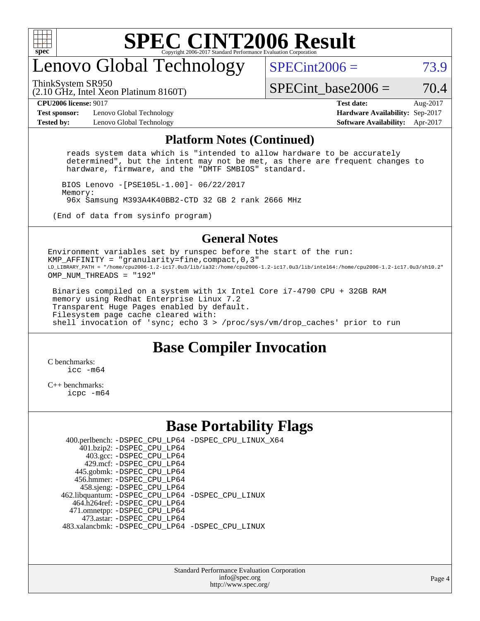

## enovo Global Technology

ThinkSystem SR950

 $SPECint2006 = 73.9$  $SPECint2006 = 73.9$ 

(2.10 GHz, Intel Xeon Platinum 8160T)

SPECint base2006 =  $70.4$ 

**[Test sponsor:](http://www.spec.org/auto/cpu2006/Docs/result-fields.html#Testsponsor)** Lenovo Global Technology **[Hardware Availability:](http://www.spec.org/auto/cpu2006/Docs/result-fields.html#HardwareAvailability)** Sep-2017 **[Tested by:](http://www.spec.org/auto/cpu2006/Docs/result-fields.html#Testedby)** Lenovo Global Technology **[Software Availability:](http://www.spec.org/auto/cpu2006/Docs/result-fields.html#SoftwareAvailability)** Apr-2017

**[CPU2006 license:](http://www.spec.org/auto/cpu2006/Docs/result-fields.html#CPU2006license)** 9017 **[Test date:](http://www.spec.org/auto/cpu2006/Docs/result-fields.html#Testdate)** Aug-2017

#### **[Platform Notes \(Continued\)](http://www.spec.org/auto/cpu2006/Docs/result-fields.html#PlatformNotes)**

 reads system data which is "intended to allow hardware to be accurately determined", but the intent may not be met, as there are frequent changes to hardware, firmware, and the "DMTF SMBIOS" standard.

 BIOS Lenovo -[PSE105L-1.00]- 06/22/2017 Memory: 96x Samsung M393A4K40BB2-CTD 32 GB 2 rank 2666 MHz

(End of data from sysinfo program)

#### **[General Notes](http://www.spec.org/auto/cpu2006/Docs/result-fields.html#GeneralNotes)**

Environment variables set by runspec before the start of the run: KMP AFFINITY = "granularity=fine, compact,  $0,3$ " LD\_LIBRARY\_PATH = "/home/cpu2006-1.2-ic17.0u3/lib/ia32:/home/cpu2006-1.2-ic17.0u3/lib/intel64:/home/cpu2006-1.2-ic17.0u3/sh10.2" OMP NUM THREADS = "192"

 Binaries compiled on a system with 1x Intel Core i7-4790 CPU + 32GB RAM memory using Redhat Enterprise Linux 7.2 Transparent Huge Pages enabled by default. Filesystem page cache cleared with: shell invocation of 'sync; echo 3 > /proc/sys/vm/drop\_caches' prior to run

#### **[Base Compiler Invocation](http://www.spec.org/auto/cpu2006/Docs/result-fields.html#BaseCompilerInvocation)**

[C benchmarks](http://www.spec.org/auto/cpu2006/Docs/result-fields.html#Cbenchmarks): icc  $-m64$ 

[C++ benchmarks:](http://www.spec.org/auto/cpu2006/Docs/result-fields.html#CXXbenchmarks) [icpc -m64](http://www.spec.org/cpu2006/results/res2017q4/cpu2006-20170917-49386.flags.html#user_CXXbase_intel_icpc_64bit_fc66a5337ce925472a5c54ad6a0de310)

#### **[Base Portability Flags](http://www.spec.org/auto/cpu2006/Docs/result-fields.html#BasePortabilityFlags)**

 400.perlbench: [-DSPEC\\_CPU\\_LP64](http://www.spec.org/cpu2006/results/res2017q4/cpu2006-20170917-49386.flags.html#b400.perlbench_basePORTABILITY_DSPEC_CPU_LP64) [-DSPEC\\_CPU\\_LINUX\\_X64](http://www.spec.org/cpu2006/results/res2017q4/cpu2006-20170917-49386.flags.html#b400.perlbench_baseCPORTABILITY_DSPEC_CPU_LINUX_X64) 401.bzip2: [-DSPEC\\_CPU\\_LP64](http://www.spec.org/cpu2006/results/res2017q4/cpu2006-20170917-49386.flags.html#suite_basePORTABILITY401_bzip2_DSPEC_CPU_LP64) 403.gcc: [-DSPEC\\_CPU\\_LP64](http://www.spec.org/cpu2006/results/res2017q4/cpu2006-20170917-49386.flags.html#suite_basePORTABILITY403_gcc_DSPEC_CPU_LP64) 429.mcf: [-DSPEC\\_CPU\\_LP64](http://www.spec.org/cpu2006/results/res2017q4/cpu2006-20170917-49386.flags.html#suite_basePORTABILITY429_mcf_DSPEC_CPU_LP64) 445.gobmk: [-DSPEC\\_CPU\\_LP64](http://www.spec.org/cpu2006/results/res2017q4/cpu2006-20170917-49386.flags.html#suite_basePORTABILITY445_gobmk_DSPEC_CPU_LP64) 456.hmmer: [-DSPEC\\_CPU\\_LP64](http://www.spec.org/cpu2006/results/res2017q4/cpu2006-20170917-49386.flags.html#suite_basePORTABILITY456_hmmer_DSPEC_CPU_LP64) 458.sjeng: [-DSPEC\\_CPU\\_LP64](http://www.spec.org/cpu2006/results/res2017q4/cpu2006-20170917-49386.flags.html#suite_basePORTABILITY458_sjeng_DSPEC_CPU_LP64) 462.libquantum: [-DSPEC\\_CPU\\_LP64](http://www.spec.org/cpu2006/results/res2017q4/cpu2006-20170917-49386.flags.html#suite_basePORTABILITY462_libquantum_DSPEC_CPU_LP64) [-DSPEC\\_CPU\\_LINUX](http://www.spec.org/cpu2006/results/res2017q4/cpu2006-20170917-49386.flags.html#b462.libquantum_baseCPORTABILITY_DSPEC_CPU_LINUX) 464.h264ref: [-DSPEC\\_CPU\\_LP64](http://www.spec.org/cpu2006/results/res2017q4/cpu2006-20170917-49386.flags.html#suite_basePORTABILITY464_h264ref_DSPEC_CPU_LP64) 471.omnetpp: [-DSPEC\\_CPU\\_LP64](http://www.spec.org/cpu2006/results/res2017q4/cpu2006-20170917-49386.flags.html#suite_basePORTABILITY471_omnetpp_DSPEC_CPU_LP64) 473.astar: [-DSPEC\\_CPU\\_LP64](http://www.spec.org/cpu2006/results/res2017q4/cpu2006-20170917-49386.flags.html#suite_basePORTABILITY473_astar_DSPEC_CPU_LP64) 483.xalancbmk: [-DSPEC\\_CPU\\_LP64](http://www.spec.org/cpu2006/results/res2017q4/cpu2006-20170917-49386.flags.html#suite_basePORTABILITY483_xalancbmk_DSPEC_CPU_LP64) [-DSPEC\\_CPU\\_LINUX](http://www.spec.org/cpu2006/results/res2017q4/cpu2006-20170917-49386.flags.html#b483.xalancbmk_baseCXXPORTABILITY_DSPEC_CPU_LINUX)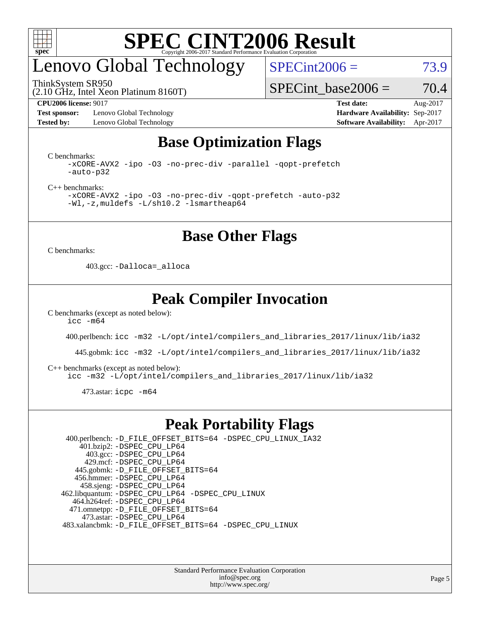

## enovo Global Technology

ThinkSystem SR950

 $SPECint2006 = 73.9$  $SPECint2006 = 73.9$ 

(2.10 GHz, Intel Xeon Platinum 8160T)

SPECint base2006 =  $70.4$ 

**[Test sponsor:](http://www.spec.org/auto/cpu2006/Docs/result-fields.html#Testsponsor)** Lenovo Global Technology **[Hardware Availability:](http://www.spec.org/auto/cpu2006/Docs/result-fields.html#HardwareAvailability)** Sep-2017 **[Tested by:](http://www.spec.org/auto/cpu2006/Docs/result-fields.html#Testedby)** Lenovo Global Technology **[Software Availability:](http://www.spec.org/auto/cpu2006/Docs/result-fields.html#SoftwareAvailability)** Apr-2017

**[CPU2006 license:](http://www.spec.org/auto/cpu2006/Docs/result-fields.html#CPU2006license)** 9017 **[Test date:](http://www.spec.org/auto/cpu2006/Docs/result-fields.html#Testdate)** Aug-2017

### **[Base Optimization Flags](http://www.spec.org/auto/cpu2006/Docs/result-fields.html#BaseOptimizationFlags)**

[C benchmarks](http://www.spec.org/auto/cpu2006/Docs/result-fields.html#Cbenchmarks):

[-xCORE-AVX2](http://www.spec.org/cpu2006/results/res2017q4/cpu2006-20170917-49386.flags.html#user_CCbase_f-xCORE-AVX2) [-ipo](http://www.spec.org/cpu2006/results/res2017q4/cpu2006-20170917-49386.flags.html#user_CCbase_f-ipo) [-O3](http://www.spec.org/cpu2006/results/res2017q4/cpu2006-20170917-49386.flags.html#user_CCbase_f-O3) [-no-prec-div](http://www.spec.org/cpu2006/results/res2017q4/cpu2006-20170917-49386.flags.html#user_CCbase_f-no-prec-div) [-parallel](http://www.spec.org/cpu2006/results/res2017q4/cpu2006-20170917-49386.flags.html#user_CCbase_f-parallel) [-qopt-prefetch](http://www.spec.org/cpu2006/results/res2017q4/cpu2006-20170917-49386.flags.html#user_CCbase_f-qopt-prefetch) [-auto-p32](http://www.spec.org/cpu2006/results/res2017q4/cpu2006-20170917-49386.flags.html#user_CCbase_f-auto-p32)

[C++ benchmarks:](http://www.spec.org/auto/cpu2006/Docs/result-fields.html#CXXbenchmarks)

[-xCORE-AVX2](http://www.spec.org/cpu2006/results/res2017q4/cpu2006-20170917-49386.flags.html#user_CXXbase_f-xCORE-AVX2) [-ipo](http://www.spec.org/cpu2006/results/res2017q4/cpu2006-20170917-49386.flags.html#user_CXXbase_f-ipo) [-O3](http://www.spec.org/cpu2006/results/res2017q4/cpu2006-20170917-49386.flags.html#user_CXXbase_f-O3) [-no-prec-div](http://www.spec.org/cpu2006/results/res2017q4/cpu2006-20170917-49386.flags.html#user_CXXbase_f-no-prec-div) [-qopt-prefetch](http://www.spec.org/cpu2006/results/res2017q4/cpu2006-20170917-49386.flags.html#user_CXXbase_f-qopt-prefetch) [-auto-p32](http://www.spec.org/cpu2006/results/res2017q4/cpu2006-20170917-49386.flags.html#user_CXXbase_f-auto-p32) [-Wl,-z,muldefs](http://www.spec.org/cpu2006/results/res2017q4/cpu2006-20170917-49386.flags.html#user_CXXbase_link_force_multiple1_74079c344b956b9658436fd1b6dd3a8a) [-L/sh10.2 -lsmartheap64](http://www.spec.org/cpu2006/results/res2017q4/cpu2006-20170917-49386.flags.html#user_CXXbase_SmartHeap64_63911d860fc08c15fa1d5bf319b9d8d5)

**[Base Other Flags](http://www.spec.org/auto/cpu2006/Docs/result-fields.html#BaseOtherFlags)**

[C benchmarks](http://www.spec.org/auto/cpu2006/Docs/result-fields.html#Cbenchmarks):

403.gcc: [-Dalloca=\\_alloca](http://www.spec.org/cpu2006/results/res2017q4/cpu2006-20170917-49386.flags.html#b403.gcc_baseEXTRA_CFLAGS_Dalloca_be3056838c12de2578596ca5467af7f3)

### **[Peak Compiler Invocation](http://www.spec.org/auto/cpu2006/Docs/result-fields.html#PeakCompilerInvocation)**

[C benchmarks \(except as noted below\)](http://www.spec.org/auto/cpu2006/Docs/result-fields.html#Cbenchmarksexceptasnotedbelow):  $\text{icc}$   $-\text{m64}$ 

400.perlbench: [icc -m32 -L/opt/intel/compilers\\_and\\_libraries\\_2017/linux/lib/ia32](http://www.spec.org/cpu2006/results/res2017q4/cpu2006-20170917-49386.flags.html#user_peakCCLD400_perlbench_intel_icc_c29f3ff5a7ed067b11e4ec10a03f03ae)

445.gobmk: [icc -m32 -L/opt/intel/compilers\\_and\\_libraries\\_2017/linux/lib/ia32](http://www.spec.org/cpu2006/results/res2017q4/cpu2006-20170917-49386.flags.html#user_peakCCLD445_gobmk_intel_icc_c29f3ff5a7ed067b11e4ec10a03f03ae)

[C++ benchmarks \(except as noted below\):](http://www.spec.org/auto/cpu2006/Docs/result-fields.html#CXXbenchmarksexceptasnotedbelow)

[icc -m32 -L/opt/intel/compilers\\_and\\_libraries\\_2017/linux/lib/ia32](http://www.spec.org/cpu2006/results/res2017q4/cpu2006-20170917-49386.flags.html#user_CXXpeak_intel_icc_c29f3ff5a7ed067b11e4ec10a03f03ae)

473.astar: [icpc -m64](http://www.spec.org/cpu2006/results/res2017q4/cpu2006-20170917-49386.flags.html#user_peakCXXLD473_astar_intel_icpc_64bit_fc66a5337ce925472a5c54ad6a0de310)

#### **[Peak Portability Flags](http://www.spec.org/auto/cpu2006/Docs/result-fields.html#PeakPortabilityFlags)**

 400.perlbench: [-D\\_FILE\\_OFFSET\\_BITS=64](http://www.spec.org/cpu2006/results/res2017q4/cpu2006-20170917-49386.flags.html#user_peakPORTABILITY400_perlbench_file_offset_bits_64_438cf9856305ebd76870a2c6dc2689ab) [-DSPEC\\_CPU\\_LINUX\\_IA32](http://www.spec.org/cpu2006/results/res2017q4/cpu2006-20170917-49386.flags.html#b400.perlbench_peakCPORTABILITY_DSPEC_CPU_LINUX_IA32) 401.bzip2: [-DSPEC\\_CPU\\_LP64](http://www.spec.org/cpu2006/results/res2017q4/cpu2006-20170917-49386.flags.html#suite_peakPORTABILITY401_bzip2_DSPEC_CPU_LP64) 403.gcc: [-DSPEC\\_CPU\\_LP64](http://www.spec.org/cpu2006/results/res2017q4/cpu2006-20170917-49386.flags.html#suite_peakPORTABILITY403_gcc_DSPEC_CPU_LP64) 429.mcf: [-DSPEC\\_CPU\\_LP64](http://www.spec.org/cpu2006/results/res2017q4/cpu2006-20170917-49386.flags.html#suite_peakPORTABILITY429_mcf_DSPEC_CPU_LP64) 445.gobmk: [-D\\_FILE\\_OFFSET\\_BITS=64](http://www.spec.org/cpu2006/results/res2017q4/cpu2006-20170917-49386.flags.html#user_peakPORTABILITY445_gobmk_file_offset_bits_64_438cf9856305ebd76870a2c6dc2689ab) 456.hmmer: [-DSPEC\\_CPU\\_LP64](http://www.spec.org/cpu2006/results/res2017q4/cpu2006-20170917-49386.flags.html#suite_peakPORTABILITY456_hmmer_DSPEC_CPU_LP64) 458.sjeng: [-DSPEC\\_CPU\\_LP64](http://www.spec.org/cpu2006/results/res2017q4/cpu2006-20170917-49386.flags.html#suite_peakPORTABILITY458_sjeng_DSPEC_CPU_LP64) 462.libquantum: [-DSPEC\\_CPU\\_LP64](http://www.spec.org/cpu2006/results/res2017q4/cpu2006-20170917-49386.flags.html#suite_peakPORTABILITY462_libquantum_DSPEC_CPU_LP64) [-DSPEC\\_CPU\\_LINUX](http://www.spec.org/cpu2006/results/res2017q4/cpu2006-20170917-49386.flags.html#b462.libquantum_peakCPORTABILITY_DSPEC_CPU_LINUX) 464.h264ref: [-DSPEC\\_CPU\\_LP64](http://www.spec.org/cpu2006/results/res2017q4/cpu2006-20170917-49386.flags.html#suite_peakPORTABILITY464_h264ref_DSPEC_CPU_LP64) 471.omnetpp: [-D\\_FILE\\_OFFSET\\_BITS=64](http://www.spec.org/cpu2006/results/res2017q4/cpu2006-20170917-49386.flags.html#user_peakPORTABILITY471_omnetpp_file_offset_bits_64_438cf9856305ebd76870a2c6dc2689ab) 473.astar: [-DSPEC\\_CPU\\_LP64](http://www.spec.org/cpu2006/results/res2017q4/cpu2006-20170917-49386.flags.html#suite_peakPORTABILITY473_astar_DSPEC_CPU_LP64) 483.xalancbmk: [-D\\_FILE\\_OFFSET\\_BITS=64](http://www.spec.org/cpu2006/results/res2017q4/cpu2006-20170917-49386.flags.html#user_peakPORTABILITY483_xalancbmk_file_offset_bits_64_438cf9856305ebd76870a2c6dc2689ab) [-DSPEC\\_CPU\\_LINUX](http://www.spec.org/cpu2006/results/res2017q4/cpu2006-20170917-49386.flags.html#b483.xalancbmk_peakCXXPORTABILITY_DSPEC_CPU_LINUX)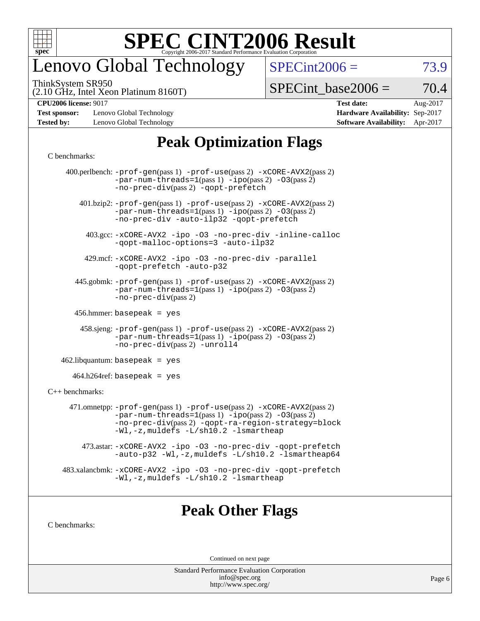

## enovo Global Technology

ThinkSystem SR950

 $SPECint2006 = 73.9$  $SPECint2006 = 73.9$ 

(2.10 GHz, Intel Xeon Platinum 8160T)

 $SPECTnt\_base2006 = 70.4$ 

**[Test sponsor:](http://www.spec.org/auto/cpu2006/Docs/result-fields.html#Testsponsor)** Lenovo Global Technology **[Hardware Availability:](http://www.spec.org/auto/cpu2006/Docs/result-fields.html#HardwareAvailability)** Sep-2017 **[Tested by:](http://www.spec.org/auto/cpu2006/Docs/result-fields.html#Testedby)** Lenovo Global Technology **[Software Availability:](http://www.spec.org/auto/cpu2006/Docs/result-fields.html#SoftwareAvailability)** Apr-2017

**[CPU2006 license:](http://www.spec.org/auto/cpu2006/Docs/result-fields.html#CPU2006license)** 9017 **[Test date:](http://www.spec.org/auto/cpu2006/Docs/result-fields.html#Testdate)** Aug-2017

### **[Peak Optimization Flags](http://www.spec.org/auto/cpu2006/Docs/result-fields.html#PeakOptimizationFlags)**

#### [C benchmarks](http://www.spec.org/auto/cpu2006/Docs/result-fields.html#Cbenchmarks):

|                   | 400.perlbench: -prof-gen(pass 1) -prof-use(pass 2) -xCORE-AVX2(pass 2)<br>$-par-num-threads=1(pass 1) -ipo(pass 2) -03(pass 2)$<br>-no-prec-div(pass 2) -gopt-prefetch                                                        |
|-------------------|-------------------------------------------------------------------------------------------------------------------------------------------------------------------------------------------------------------------------------|
|                   | $401 \text{.}$ bzip2: -prof-gen(pass 1) -prof-use(pass 2) -xCORE-AVX2(pass 2)<br>$-par-num-threads=1(pass 1) -ipo(pass 2) -03(pass 2)$<br>-no-prec-div -auto-ilp32 -qopt-prefetch                                             |
|                   | 403.gcc: -xCORE-AVX2 -ipo -03 -no-prec-div -inline-calloc<br>-qopt-malloc-options=3 -auto-ilp32                                                                                                                               |
|                   | 429.mcf: -xCORE-AVX2 -ipo -03 -no-prec-div -parallel<br>-gopt-prefetch -auto-p32                                                                                                                                              |
|                   | 445.gobmk: -prof-gen(pass 1) -prof-use(pass 2) -xCORE-AVX2(pass 2)<br>$-par-num-threads=1(pass 1) -ipo(pass 2) -03(pass 2)$<br>-no-prec-div(pass 2)                                                                           |
|                   | $456.$ hmmer: basepeak = yes                                                                                                                                                                                                  |
|                   | $458 \text{.}$ sjeng: $-\text{prof-gen(pass 1)} - \text{prof-use(pass 2)} - \text{xCORE-AVX2(pass 2)}$<br>$-par-num-threads=1(pass 1) -ipo(pass 2) -03(pass 2)$<br>-no-prec-div(pass 2) -unroll4                              |
|                   | $462$ .libquantum: basepeak = yes                                                                                                                                                                                             |
|                   | $464.h264$ ref: basepeak = yes                                                                                                                                                                                                |
| $C++$ benchmarks: |                                                                                                                                                                                                                               |
|                   | 471.omnetpp: -prof-gen(pass 1) -prof-use(pass 2) -xCORE-AVX2(pass 2)<br>$-par-num-threads=1(pass 1) -ipo(pass 2) -03(pass 2)$<br>-no-prec-div(pass 2) -qopt-ra-region-strategy=block<br>-Wl,-z, muldefs -L/sh10.2 -lsmartheap |
|                   | 473.astar: -xCORE-AVX2 -ipo -03 -no-prec-div -qopt-prefetch<br>-auto-p32 -Wl,-z, muldefs -L/sh10.2 -lsmartheap64                                                                                                              |
|                   | 483.xalancbmk: -xCORE-AVX2 -ipo -03 -no-prec-div -qopt-prefetch<br>$-Wl$ , $-z$ , muldefs $-L/\nabla L$ . 2 $-l$ smartheap                                                                                                    |
|                   |                                                                                                                                                                                                                               |

### **[Peak Other Flags](http://www.spec.org/auto/cpu2006/Docs/result-fields.html#PeakOtherFlags)**

[C benchmarks](http://www.spec.org/auto/cpu2006/Docs/result-fields.html#Cbenchmarks):

Continued on next page